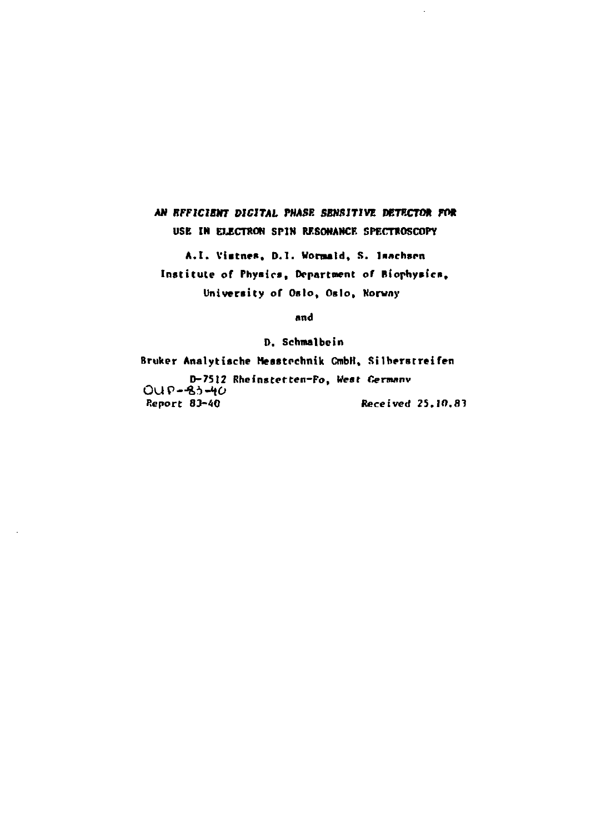# AN EFFICIENT DIGITAL PHASE SENSITIVE DETECTOR FOR USE IN ELECTRON SPIN RESONANCE SPECTROSCOPY

A.I. Vistnes, D.I. Wormald, S. Isachsen Institute of Physics, Department of Biophysics, University of Oslo, Oslo, Norway

and

D. Schmalbein

Bruker Analytische Messtechnik CmbH, Silberstreifen D-7512 Rheinstetten-Fo, West Germany  $OUP-83-40$ Report 83-40 Received 25.10.83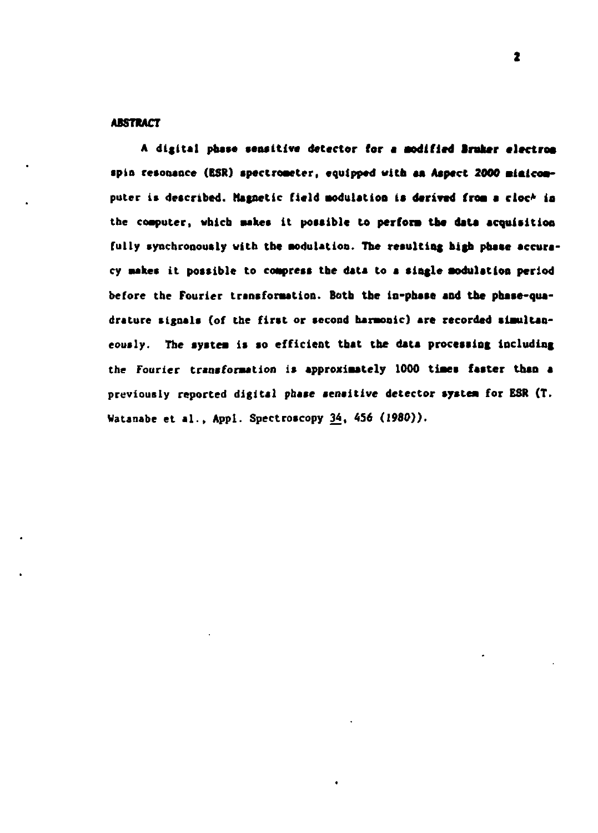## **ABSTRACT**

A digital phase sensitive detector for a modified Bruker electron **•pin resonance (BSR) apectroaeter, equipped with aa Aspect 2000 alaicoaputer is described. Magnetic field Modulation is derived froa a cloc\* in the coaputer, «hicb aakea it poaaible to perfora tba data acquisition**  fully synchronously with the modulation. The resulting high phase accura**cy stakes it possible to compress the data to a single aodulstion period before the Fourier transforation. Both the in-phsse sod the phase-quadrature signals (of the first or second harmonic) are recorded siaultaneously. The aystea is so efficient that the data processing including the Fourier transformation is approximately 1000 times faster than a previously reported digital phase aenaitive detector aystea for ESR (T. Watanabe et al., Appl. Spectroscopy 34, 4S6 (1980)).**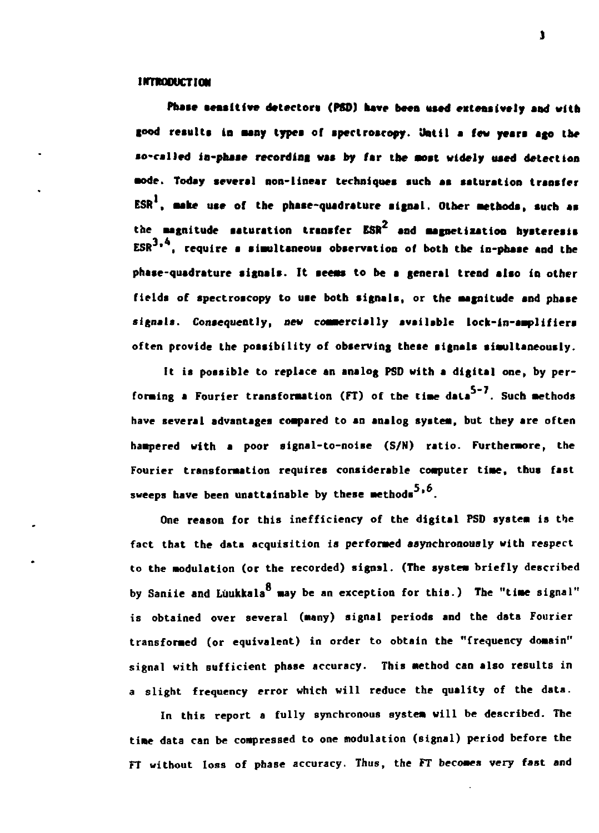# **INTRODUCTION**

Phase sensitive detectors (PSD) have been used extensively and with good results in many types of spectroscopy. Until a few years ago the **so-called ia-phaae recording was by (ar tne anst widely used detection •ode. Today several non-linear techniques such as ssturation trsnsfer ESR , sake uae of the phase-quadrature signal. Other aethods, such as the asgnltude saturation transfer ESR and aagnetixatlon hysteresis 3 4 ESR ' , require s simultaneous observstion of both the in-phase and the phase-quadrature signals. It seeas to be s general trend also in other**  fields of spectroscopy to use both signals, or the magnitude and phase **signals. Consequently, new commercially available lock-in-amplifiera**  often provide the possibility of observing these signals simultaneously.

**It is possible to replace an analog PSD with a digital one, by per**forming a Fourier transformation (FT) of the time data<sup>5-7</sup>. Such methods **have several advantages coapared to an analog systea, but they are often haapered with a poor signal-to-noise (S/N) ratio. Furthermore, the Fourier transformation requires considerable computer time, thus fast sweeps have been unattainable by these aethods ' .** 

**One reason for this inefficiency of the digital PSD systea is the fact that the data acquisition** *is* **performed asynchronously with respect to the modulation (or the recorded) signal. (The systea briefly described**  by Saniie and Lüukkala<sup>8</sup> may be an exception for this.) The "time signal" **is obtained over several (aany) signal periods and the data Fourier transformed (or equivalent) in order to obtain the "frequency domain" signal with sufficient phase accuracy. This method can also results in a slight frequency error which will reduce the quality of the data.** 

**In this report a fully synchronous system will be described. The tiae data can be compressed to one modulation (signal) period before the FT without loss of phase accuracy. Thus, the FT becomes very fast and**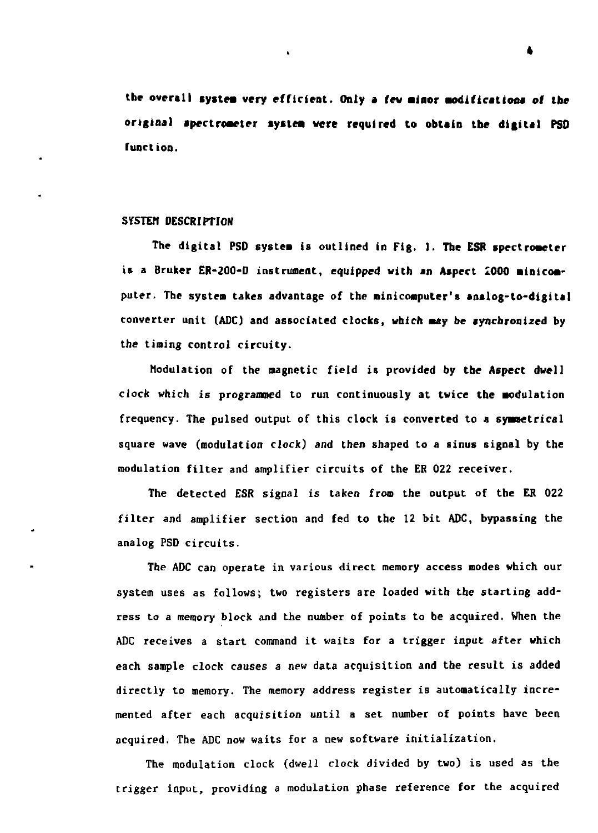the overall system very efficient. Only a few minor modifications of the **original apertroaeter lytlea were required to obtain the digital PSD**  function.

## SYSTEM DESCRIPTION

The digital PSD **systea** is outlined in Fig. 1. **The ESR spectrometer**  is a Bruker ER-200-D instrument, equipped with **an Aspect** 1000 **ainicoa**puter. The systea takes advantage of the niniconputer's **analog-to-digital**  converter unit (ADC) and associated clocks, which *may* be synchronized by the tining control circuity.

Modulation of the magnetic field is provided by the Aspect dwell clock which is programmed to run continuously at twice the modulation frequency. The pulsed output of this clock is converted to a symmetrical square wave (modulation clock) and then shaped to a sinus signal by the modulation filter and amplifier circuits of the ER 022 receiver.

The detected ESR signal is taken from the output of the ER 022 filter and amplifier section and fed to the 12 bit ADC, bypassing the analog PSD circuits.

The ADC can operate in various direct memory access modes which our system uses as follows; two registers are loaded with the starting address to a memory block and the number of points to be acquired. When the ADC receives a start command it waits for a trigger input after which each sample clock causes a new data acquisition and the result is added directly to memory. The memory address register is automatically incremented after each acquisition until a set number of points have been acquired. The ADC now waits for a new software initialization.

The modulation clock (dwell clock divided by two) is used as the trigger input, providing a modulation phase reference for the acquired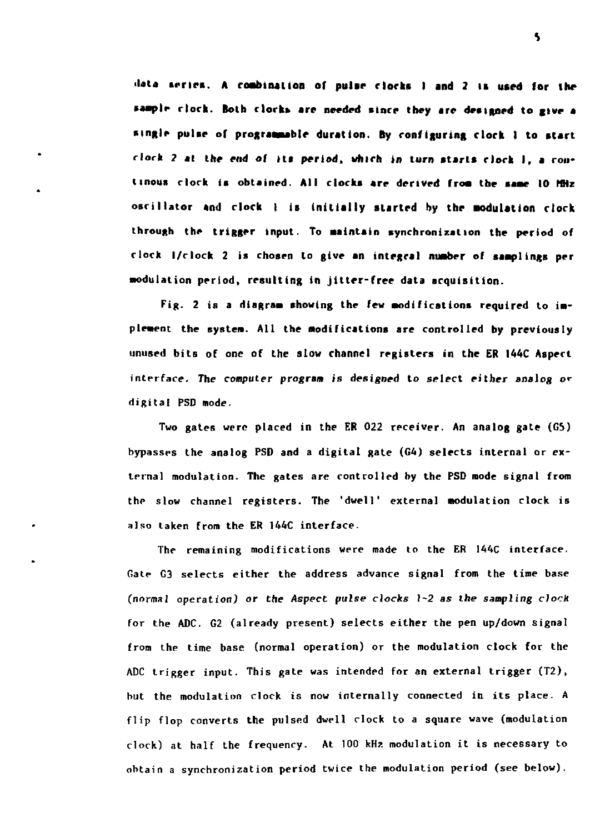**data series. A roabinallon or pulse clocks 1 and 2 is used (or the •aaiplr rlork. Both clock»** are **needed since they are designed to give a single pulse of prograssuble duration. By configuring clock I to start**  clock 2 at the end of its period, which in turn starts clock I, a cou**tinous clock is obtained. All clocks are derived froa** the **saae 10 MHz oscillator and clock I is initially started by the Modulation clock through the trigger input. To Maintain synchronization the period of clock l/clock 2 is chosen to give an integral number of samplings per Modulation period, resulting in jitter-free data acquisition.** 

Fig. 2 is a diagram showing the few modifications required to imp**lement the systeM. All the Modifications are controlled by previously**  unused bits **of** one **of** the **slow** channel registers in the ER I44C Aspect interface. The computer program is designed to select either analog or digital PSD mode.

Two gates were placed in the ER 022 receiver. An analog gate (G5) bypasses the analog PSD and a digital gate (G4) selects internal or external modulation. The gates are controlled by the PSD mode signal from the slow channel registers. The 'dwell' external modulation clock is also taken from the ER 144C interface.

The remaining modifications were made to the ER 144C interface. Gate G3 selects either the address advance signal from the time base (normal operation) or the Aspect pulse clocks 1-2 *as* the sampling clocK for the ADC. G2 (already present) selects either the pen up/down signal from the time base (normal operation) or the modulation clock for the ADC trigger input. This gate was intended for an external trigger (T2), but the modulation clock is now internally connected in its place. A flip flop converts the pulsed dwell clock to a square wave (modulation clock) at half the frequency. At 100 kHz modulation it is necessary to obtain a synchronization period twice the modulation period (see below).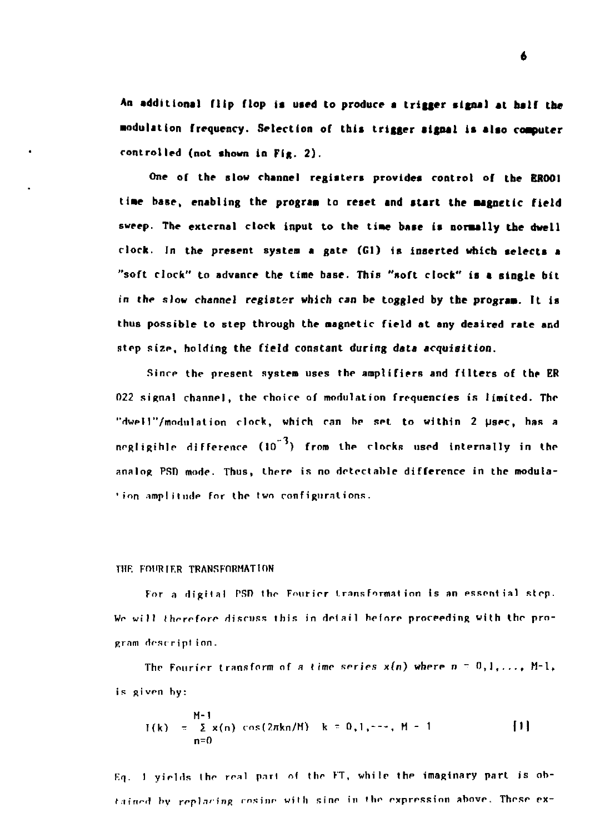**An additional flip flop is used to produce s trigger signal at naif the •odulalion frequency. Selection of this trigger signal is alao coaputer controlled (not shown in Fig. 2) .** 

**One of the slow channel registers provides control of the EROOI tiae base, enabling the prograa to reset and start the aagnetic field sweep. The external clock input to the tiae base is normally the dwell clock. In the present system a gate (Gl) is inserted which selects a "soft clock" to advance the time base. This "soft clock" is a single bit**  *in* **the slow channel register which can be toggled by the prograa. It** is thus **possible to** step **through the magnetic field at any desired rate and**  step size, holding **the field constant during data acquisition.** 

Sinrp the present system uses the amplifiers **and** filters of **the** ER 022 signal channel, the choice of modulation frequencies is limited. The "dwell"/modulation clock, which can be set to within 2 µsec, has a negligible difference  $(10^{-3})$  from the clocks used internally in the analog PSD mode. Thus, there is no detectable difference in the modula-\* ion amplitude for the two configurations.

## THE FOURTER TRANSFORMATION

For a digital PSD the Fourier transformation Is an essential step. *Wr* will therefore discuss this in detail before proceeding with the program description.

The Fourier transform of a time series  $x(n)$  where  $n = 0,1,..., M-1$ , is given by:

$$
H=1
$$
  
\n
$$
H(1) = \sum_{n=0}^{M-1} x(n) \cos(2\pi kn/M) \quad k = 0, 1, \dots, M-1
$$
 [1]

F.o. I yields the real part of the FT, while the imaginary part is obtained by replacing cosine with sine in the expression above. These ex-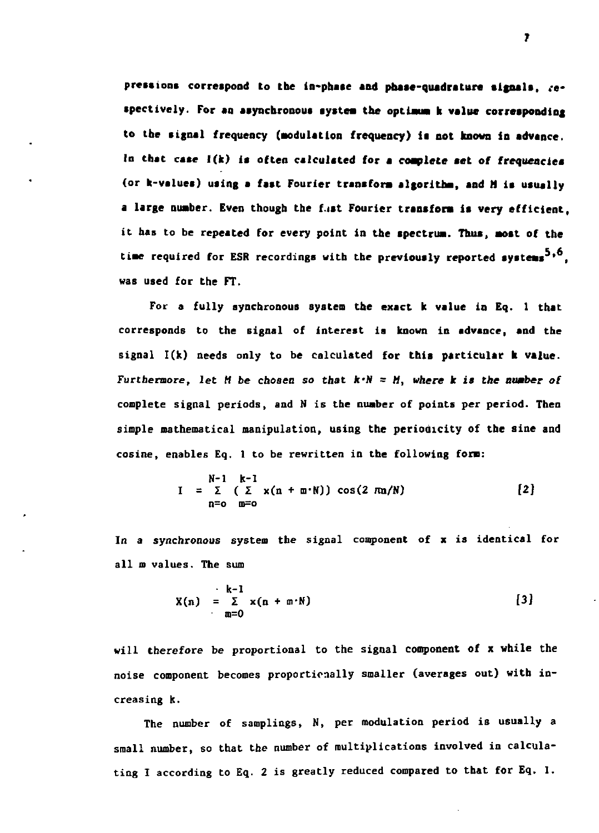**pressions correspond to the ln-phate and phase-quadrature signals, respectively. For an asynchronous system the optimum k value corresponding**  to the signal frequency (modulation frequency) is not known in advance. **In that case I(k) is often calculated for a complete set of frequencies (or k-values) using a fast Fourier transform algorithm, and M is usually a large number. Even though the f.ist Fourier transform is very efficient, it has to be repeated for every point in the spectrum. Thus, most of the time required for ESR recordings with the previously reported systems , was used for the FT.** 

**For a fully synchronous system the exact k value in Eq. 1 that corresponds to the signal of interest is known in advance, and the signal I(k) needs only to be calculated for this particular k value.**  Furthermore, let M be chosen so that  $k \cdot N = M$ , where **k** is the number of **complete signal periods, and N is the number of points per period. Then simple mathematical manipulation, using the periodicity of the sine and cosine, enables Eq. 1 to be rewritten in the following form:** 

$$
N-1 k-1
$$
  
\n
$$
I = \sum_{n=0}^{N-1} (\sum_{m=0}^{k-1} x(n + m \cdot N)) \cos(2 \pi n/N)
$$
 [2]

**In a synchronous system the signal component of x is identical for all m values. The sum** 

$$
X(n) = \sum_{m=0}^{k-1} x(n+m \cdot N) \qquad [3]
$$

**will therefore be proportional to the signal component of x while the noise component becomes proportionally smaller (averages out) with increasing k.** 

**The number of samplings, H, per modulation period is usually a small number, so that the number of multiplications involved in calculating I according to Eq. 2 is greatly reduced compared to that for Eq. 1.**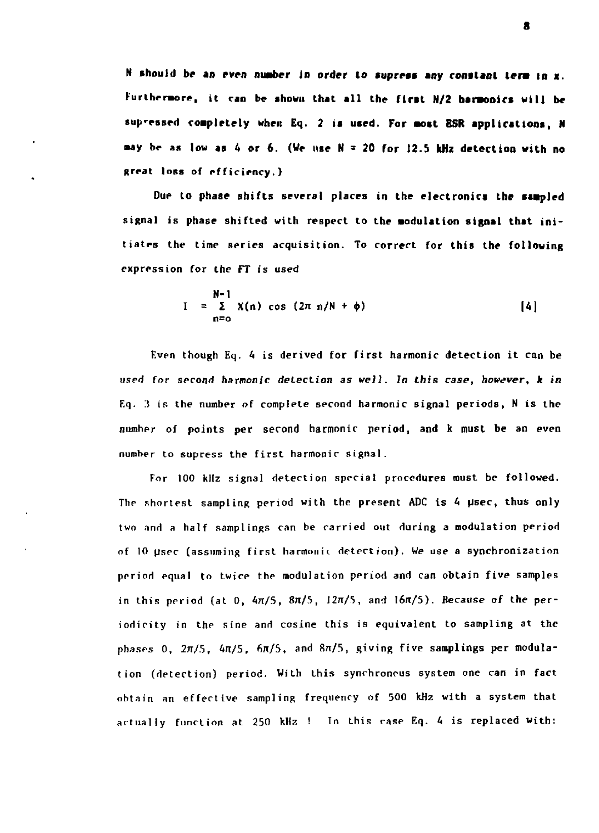**N should be an even number in order to supress any constant term in x. Furthermore, it ran be shown that all the first N/2 baraonics will be sup'essed completely when Eq. 2 is used. For awst ESR applications, N •ay be as low as 4 or 6. (We use N = 20 for 12.5 kHz detection with no (treat** loss of **efficiency.)** 

**Due to phase shifts several places in the electronics the saapled**  signal is phase shifted with respect to the modulation signal that initiates the time series acquisition. To **correct for this the following**  expression for the FT is used

$$
N-1
$$
  
I =  $\sum_{n=0}^{N-1} X(n) \cos (2\pi n/N + \phi)$  [4]

Even though Eq. 4 is derived for first harmonic detection it can be used for second harmonic detection as well. In this *case,* however, k in  $Eq.$  3 is the number of complete second harmonic signal periods, N is the number of points per second harmonic period, and k must be an even number to supress the first harmonic signal.

For 100 kHz signal detection special procedures must be followed. The shortest sampling period with the present ADC is 4 µsec, thus only two and a half samplings can be carried out during a modulation period of 10 psec (assuming first harmonic detection). We use a synchronization period equal to twice the modulation period and can obtain five samples in this period (at  $0, 4\pi/5, 8\pi/5, 12\pi/5,$  and  $16\pi/5$ ). Because of the periodicity in the sine and cosine this is equivalent to sampling at the phases 0,  $2\pi/5$ ,  $4\pi/5$ ,  $6\pi/5$ , and  $8\pi/5$ , giving five samplings per modulation (detection) period. With this synchronous system one can in fact obtain an effective sampling frequency of 500 kHz with a system that actually function at 250 kHz ! In this rase Eq. 4 is replaced with: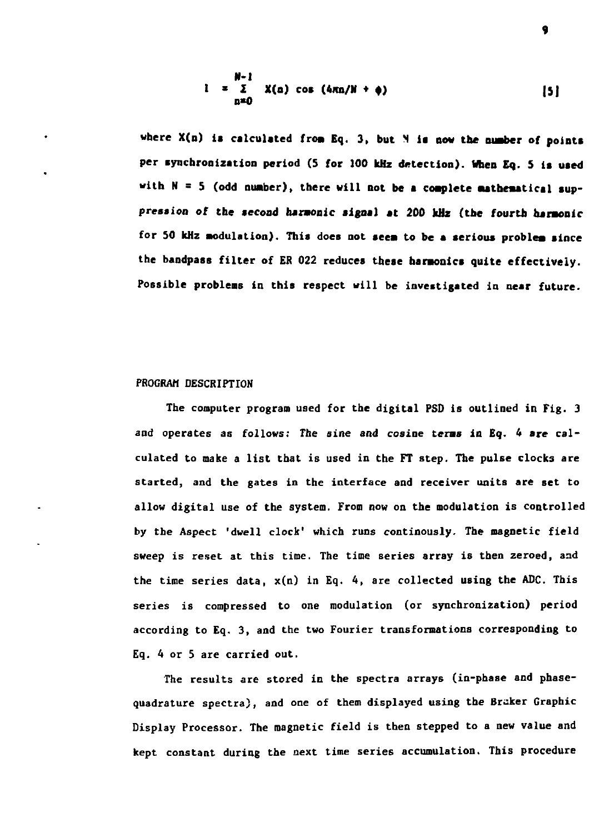$$
N-1
$$
  
\n
$$
i = \sum_{n=0}^{N-1} X(n) \cos(4\pi n/N + \phi)
$$
 [5]

**9** 

where X(n) is calculated from Eq. 3, but M is now the number of points **per synchronization period (S for 100 kHz detection). When Eq. S is uaed with N = 5 (odd nuaber), there will not be a coaplete aatbeaatlcal suppression of the second harmonic signal at 200 kHz (the fourth harmonic for 50 kHz modulation). This does not seem to be a serious problem since the bandpass filter of ER 022 reduces these harmonics quite effectively. Possible problems in this respect will be investigated in near future.** 

## **PROGRAM DESCRIPTION**

**The computer program used for the digital PSD is outlined in Fig. 3 and operates as follows: The sine and cosine terms in Eq. 4 are calculated to make a list that is used in the FT step. The pulse clocks are started, and the gates in the interface and receiver units are set to allow digital use of the system. From now on the modulation is controlled by the Aspect 'dwell clock' which runs continously. The magnetic field sweep is reset at this time. The time series array is then zeroed, and the time series data, x(n) in Eq. 4, are collected using the ADC. This series is compressed to one modulation (or synchronization) period according to Eq. 3, and the two Fourier transformations corresponding to Eq. 4 or 5 are carried out.** 

**The results are stored in the spectra arrays (in-phase and phasequadrature spectra), and one of them displayed using the Bråker Graphic Display Processor. The magnetic field is then stepped to a new value and kept constant during the next time series accumulation. This procedure**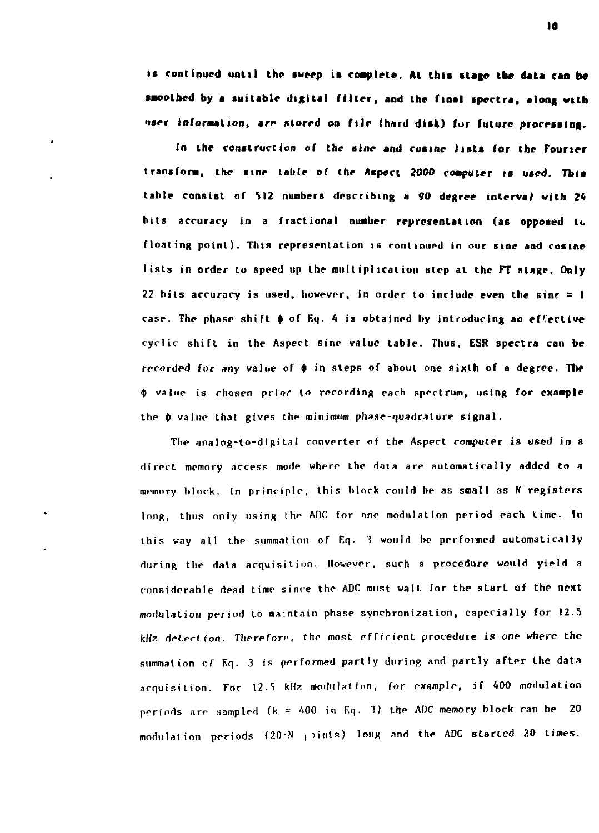is continued until the sweep is complete. At this stage the data can be **smoothed by a suitable digital filler, and the final tpectra, along with**  user information, are stored on file (hard disk) for future processing.

In the construction of the sine and cosine lists for the Fourier transform, the sine table of the Aspect 2000 computer is used. This table consist of 512 numbers describing a 90 degree interval with 24 hits accuracy in a fractional **number representation (as oppoted** It floating point). This representation is continued in our sine and cosine lists in order to speed up the multiplication step at the FT stage. Only 22 bits accuracy is used, however, in order to include even the sine  $z = 1$ case. The phase shift  $\phi$  of Eq. 4 is obtained by introducing an effective cyclic shift in the Aspect sine value table. Thus, ESR spectra can be recorded for any value of  $\phi$  in steps of about one sixth of a degree. The  $\phi$  value is chosen prior to recording each spectrum, using for example the *\$* value that gives the minimum phase-quadrature signal.

The analog-to-digital converter of the Aspect computer *is* used in a direct memory access mode whprr the data are automatically added to a memory block. In principle, this block could be as smalt as N registers long, thus only using the ADC for one modulation period each time. In this way all the summation of Eq. 3 would be performed automatically during the data acquisitinn. However, such a procedure would yield a considerable dead time since the ADC must wait for the start of the next modulation period to maintain phase synchronization, especially for 12.5 kHz detection. Therefore, the most efficient procedure is one where the summation cf Eq. 3 is performed partly during and partly after the data acquisition. For 12.S kHz modulation, for example, if 400 modulation periods are sampled  $(k = 400$  in Eq. 3) the ADC memory block can be 20 modulation periods  $(20\cdot N + \text{units})$  long and the ADC started 20 times.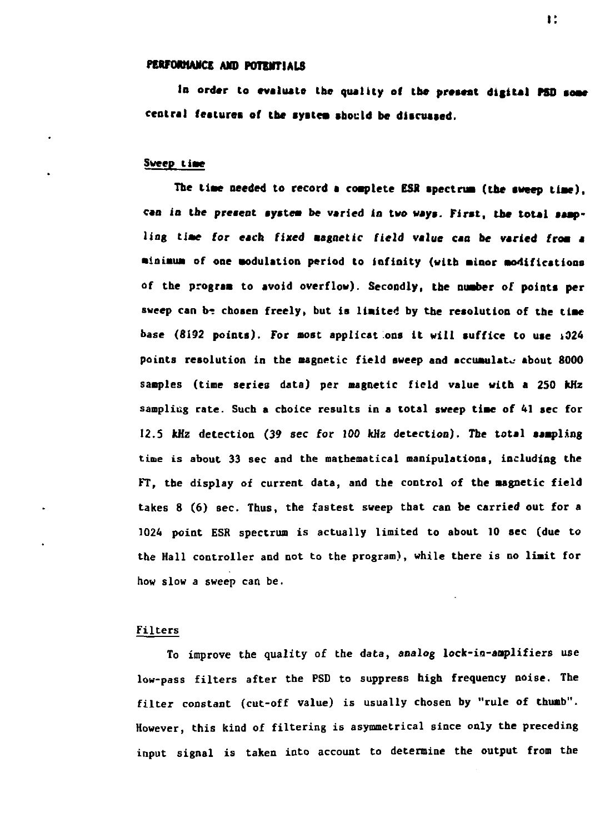## **reWOMANCE AND POTEHTIALS**

**lo order to evaluate the quality of toe present digital PSD some central featurei of the syslea should be discussed.** 

## **Sweep tiac**

The time needed to record a complete ESR spectrum (the sweep time). **can** *la* **tbe present aysteai be varied in two ways. First, the total samp**ling time for each fixed magnetic field value can be varied from a **aioiaua of one aodulation period to infinity (with aioor Bonifications of the prograa to avoid overflow). Secondly, the nuaber of points per**  sweep can be chosen freely, but is limited by the resolution of the time **base (8192 points). For most applications it will suffice to use i024 points resolution in the magnetic field sweep and accumulate about 8000 samples (time series data) per magnetic field value with a 2S0 kHz sampling rate. Such a choice results in a total sweep tiae of 41 sec for 12.5 kHz detection (39** *sec* **for 100 kHz detection). The total sampling time is about 33 sec and the mathematical manipulations, including the FT, the display of current data, and the control of tbe magnetic field takes 8 (6) sec. Thus, the fastest sweep that can be carried out for a 1024 point ESR spectrum is actually limited to about 10 sec (due to the Hall controller and not to the program), while there is no limit for how slow a sweep can be.** 

## **Filters**

**To improve the quality of the data, analog lock-in-anplifiers use low-pass filters after the PSD to suppress high frequency noise. The filter constant (cut-off value) is usually chosen by "rule of thumb". However, this kind of filtering is asymmetrical since only the preceding input signal is taken into account to determine the output from the**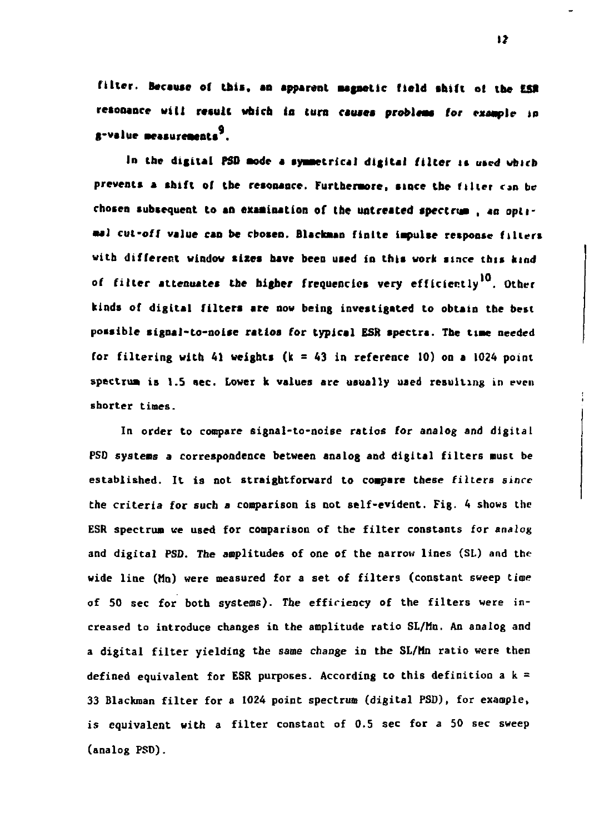**filter. Because of this, an apparent magnetic field shift of the** *IS\**  resonance will result which in turn causes problems for example in g-value measurements<sup>3</sup>.

In the digital PSD mode a symmetrical digital filter is used which prevents a shift of the resonance. Furthermore, since the filter can be chosen subsequent to an examination of the untreated spectrum, an optimal cut-off value can be cbosen. Blackman finite impulse response filters with different window sizes have been used in this work since this kind of filter attenuates the higher frequencies very efficiently<sup>10</sup>. Other kinds of digital filters are now being investigated to obtain the best possible signal-to-noise ratios for typical ESR spectra. The time needed

**In order to compare signal-to-noise ratios for analog and digital PSD systems a correspondence between analog and digital filters must be**  the criteria for such a comparison is not self-evident. Fig. 4 shows the **ESR spectrum ue used for comparison of the filter constants for analog**  and digital PSD. The amplitudes of one of the narrow lines (SL) and the **wide line (Mn) were measured for a set of filters (constant sweep time**  of 50 sec for both systems). The efficiency of the filters were in**creased to introduce changes in the amplitude ratio SL/Mn. An analog and**  a digital filter yielding the same change in the SL/Mn ratio were then **a digital filter yielding the same change in the SL/Mn ratio were then defined equivalent for ESR purposes. According to this definition a k =**  is equivalent with a filter constant of 0.5 sec for a 50 sec sweep **is equivalent with a filter constant of 0.5 sec for a 50 sec sweep**  (analog PSD).

**I?**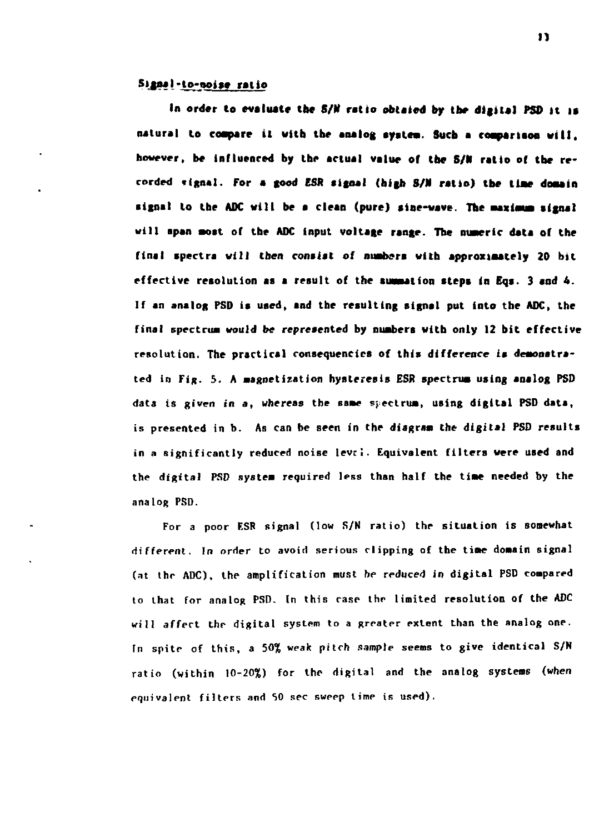# **5ijnaI-to-aoise ratio**

**In order to evaluate the** *8/U* **ratio obtaied by the digital PSD it it natural to compare it with the analog syslea. Such a coaparlsoa will, however, be influenced by the actual value of the S/N ratio of the recorded tignal. For a good ESR signal (high S/N ratio) tbe tiae domain signal to tbe ADC will be a clean (pure) sine-wave. The maximum signal will span aost of the ADC input voltage range. The numeric data of the final spectra will then consist of nuabers with approximately 20 bit effective resolution as a result of the summation steps in Eqs. 3 and 4. If an analog PSD is used, and the resulting signal put into the ADC, the final spectrum would be represented by numbers with only 12 bit effective**  resolution. **The practical consequencics of this difference is demonstrated** in **Fig. 5. A magnetization hysteresis ESR spectrum using analog PSD data is given in a, whereas tbe same spectrum, using digital PSD data, is presented** in **b. As** can **be seen in the diagram the digital PSD results**  in a significantly reduced noise level. Equivalent **filters were used and**  the digital **PSD system** required less **than** half **the time needed** by **the**  analog PSD.

For a poor F.SR signal (low S/N ratio) the **situation** is somewhat different. In order to avoid serious clipping of the **time domain** signal (at thr ADC), the amplification must *he* reduced in digital PSD compared to that for analog PSD. In this case the limited resolution **of the** ADC will affect the digital system to a greater extent than the analog one. In spite of this, a 50% weak pitch sample seems to give identical S/N ratio (within 10-20%) for the digital and the analog systems (when equivalent filters and 50 sec sweep time is used).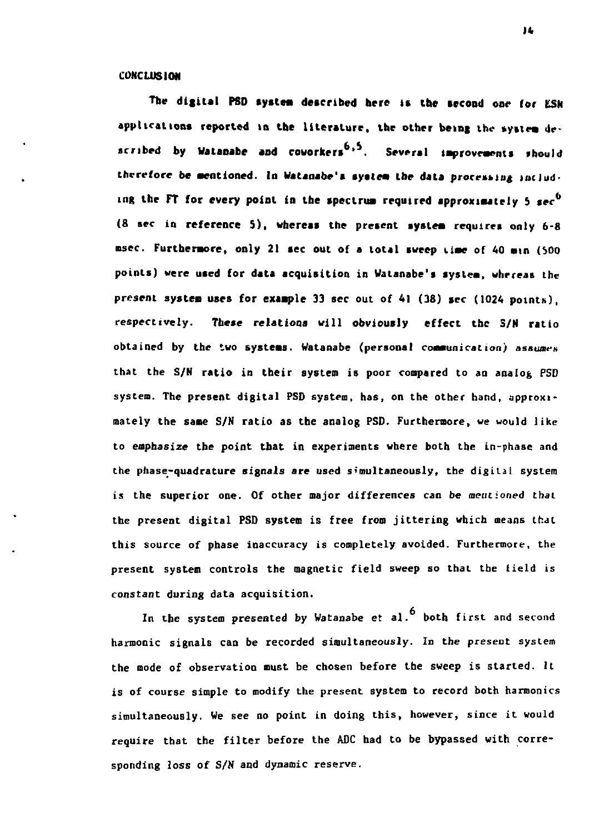## **CONCLUSION**

**The digital PSD systea described here is the second one (or tSK applications reported in the literature, the older being lhe systea de**  scribed by Walanabe and coworkers<sup>6,5</sup>. Several improvements should therefore be mentioned. In Watanabe's system the data protessing includ**ing the FT for every point** *ia* **the spectrua required approxiaately 5** *tec<sup>b</sup>* (8 sec in reference 5), whereas the present system requires only 6-8 msec. Furthermore, only 21 sec out of a total sweep time of 40 min (500 **points) were used for data acquisition in Walanabe's systea, whereas the present systea uses for exaaple 33 sec out of 41 (38) sec (1024 points), respectively. These relationa will obviously effect the S/N ratio obtained by the two systeas. Watanabe (personal** *communication) assumes*  **that the S/N ratio in their system is poor compared to an analog PSD system. The present digital PSD system, has, on the other hand, approximately the same S/N ratio as the analog PSD. Furthermore, we would like to emphasize the point that in experiments where both the in-phase and the phase-quadrature signals are used simultaneously, the digital system is the superior one. Of other major differences can be mentioned that the present digital PSD system is free from jittering which means that this source of phase inaccuracy is completely avoided. Furthermore, the**  present system controls the magnetic field sweep so that the field is **constant during data acquisition.** 

**In the system presented by Watanabe** *et* **al. both first and second harmonic signals can be recorded simultaneously. In the present system the mode of observation must be chosen before the sweep is started. It is of course simple to modify the present system to record both harmonics simultaneously. We see no point in doing this, however, since it would require that the filter before the ADC had to be bypassed with corresponding loss of S/N and dynamic reserve.**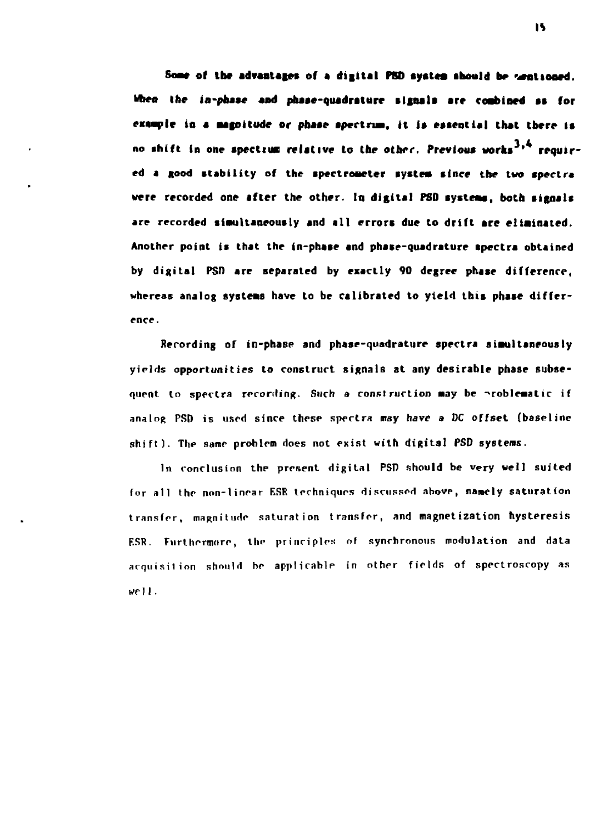Some of the advantages of a digital PSD system should be sentioned. When the in-phase and phase-quadrature signals are combined as for example in a magnitude or phase spectrum, it is essential that there is no shift in one spectrum relative to the other. Previous works<sup>3,4</sup> required a good stability of the spectrometer system since the two spectra were recorded one after the other. In digital PSD systems, both signals are recorded simultaneously and all errors due to drift are eliminated. Another point is that the in-phase and phase-quadrature apectra obtained by digital PSD are separated by exactly 90 degree phase difference. whereas analog systems have to be calibrated to yield this phase difference.

Recording of in-phase and phase-quadrature spectra simultaneously vields opportunities to construct signals at any desirable phase subsequent to spectra recording. Such a construction may be problematic if analog PSD is used since these spectra may have a DC offset (baseline shift). The same problem does not exist with digital PSD systems.

In conclusion the present digital PSD should be very well suited for all the non-linear ESR techniques discussed above, namely saturation transfer, magnitude saturation transfer, and magnetization hysteresis ESR. Furthermore, the principles of synchronous modulation and data acquisition should be applicable in other fields of spectroscopy as well.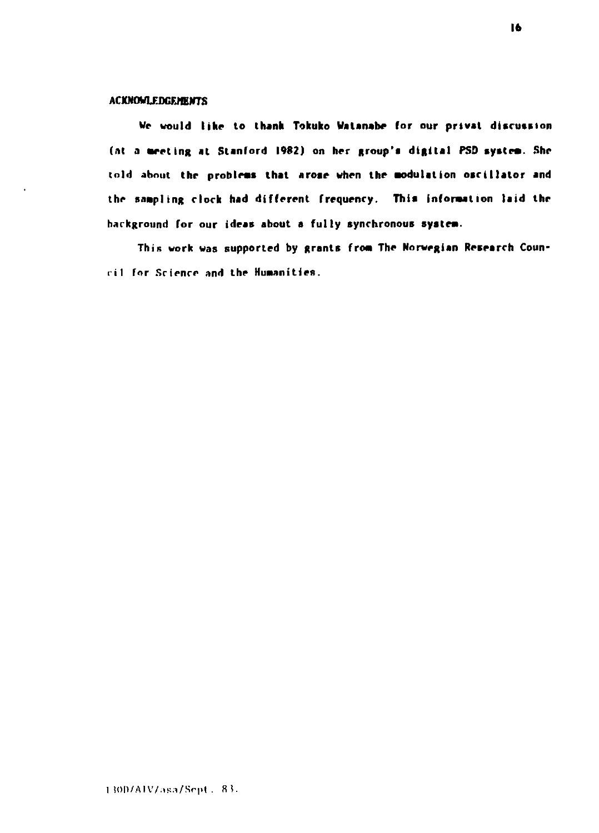# **ACXNOWlEDGFJffiWTS**

**We would like to thank Tokuko Vatanabe for our privat discussion**  (at a meeting at Stanford 1982) on her group's digital PSD system. She **told about the probleas that aroae when the aodulation oscillator and**  the sampling clock had different frequency. This information laid the **background for our ideas about a fully synchronous systea.** 

This work was supported by grants from The Norwegian Research Coun**iil for Science and the Huaanities.**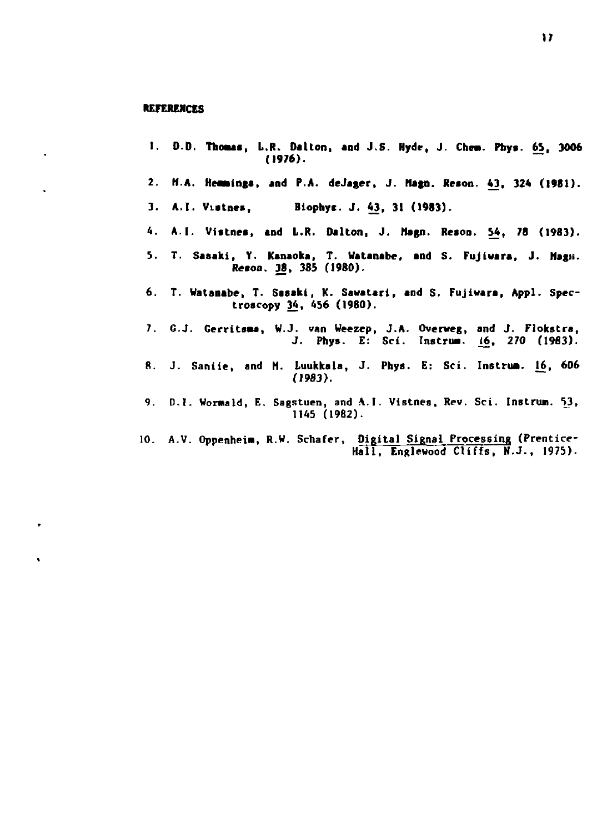## **REFERENCES**

 $\ddot{\phantom{a}}$ 

 $\ddot{\phantom{a}}$ 

 $\ddot{\phantom{0}}$ 

- **1.** D.D. Thomas, L.R. Dalton, and J.S. Hyde, J. Chem. Phys. 65, 3006 *(1976)*.
- $2.$ M.A. Hemmings. and P.A. deJager, J. Magn. Reson. 43, 324 (1981).
- 
- 4.
- 5. T. Sasaki, Y. Kanaoka, T. Watanabe, and S. Fujiwara, J. Magn. **Reson. 38. 385 (1980).**
- **6. T. Watanabe, T. Sasaki, K. Sawatari, and S. Fujivara, Appl. Spectroscopy 34, 456 (1980).**
- **7. G.J. Gerritsaa, W.J. van Weezep, J.A. Overweg, and J. Flokstra, J. Phys. E: Sci. Instrua. 16, 270 (1983).**
- **ft. J. Saniie, and H. Luukkala, J. Phys. E: Sci. Instrua. 16, 606 (1983).**
- **9. D.I. Wormald, E. Sagstuen, and A.I. Vistnes, Rev. Sci. Instrun. 53, 1145 (1982).**
- **10. A.V. Gppenheia, R.W. Schafer, Digital Signal Processing (Prentice-Hall, Englewood Cliffs, N.J., 1975).**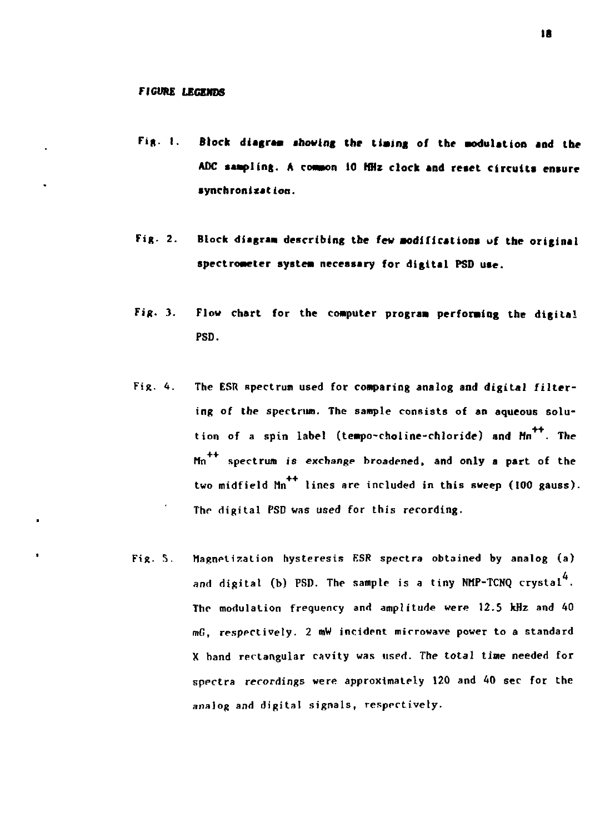ï

 $\bullet$ 

- Fig. 1. Block diagram showing the timing of the modulation and the **ADC saapling. A common 10 HHz clock and reaet circuits ensure synchronization.**
- **Fig. 2. Block diagraa** describing **the few aodificationa of the original spectrometer systea necessary** for **digital PSD use.**
- Fig. 3. Flow chart for the conputer **prograa** performing the digital PSD.
- Fig. 4. The ESR spectrum used for comparing analog and digital filtering of the spectrum. The sample consists of an aqueous solution of a spin label (tempo-choline-chloride) and Mn<sup>++</sup>. The Mn spectrum is exchange broadened, and only a part of the two midfield  $M_n$ <sup>++</sup> lines are included in this sweep (100 gauss). The digital PSD was used for this recording.
- Fig. 5. Magnetization hysteresis ESR spectra obtained by analog (a) and digital (b) PSD. The sample is a tiny NMP-TCNQ crystal $^4\cdot$ The modulation frequency and amplitude were 12.5 kHz and 40 mG, respectively. 2 mW incident microwave power to a standard X hand rectangular cavity was used. The total time needed for spectra recordings were approximately 120 and 40 sec for the analog and digital signals, respectively.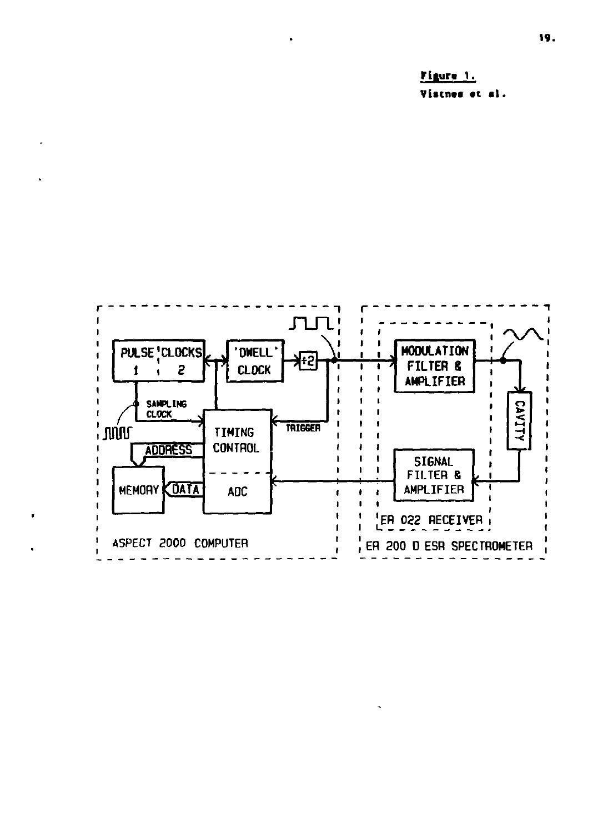Figure 1. Vistnes et al.

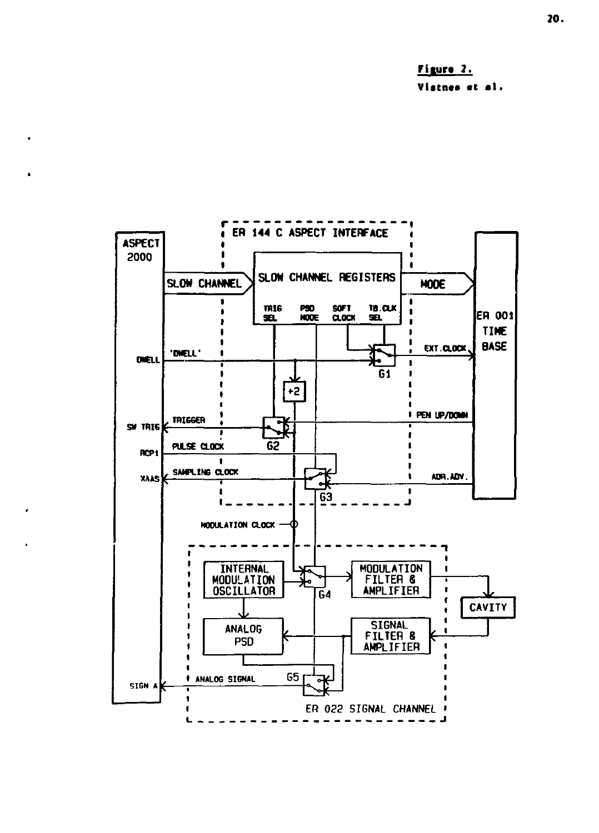Figure 2. Vistnes et al.

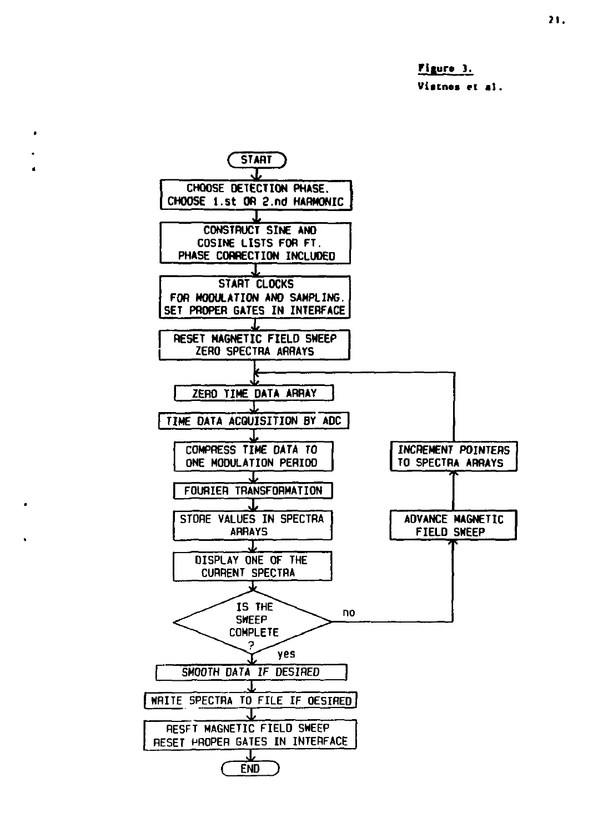**fllur» ]. Viatnes et al.** 

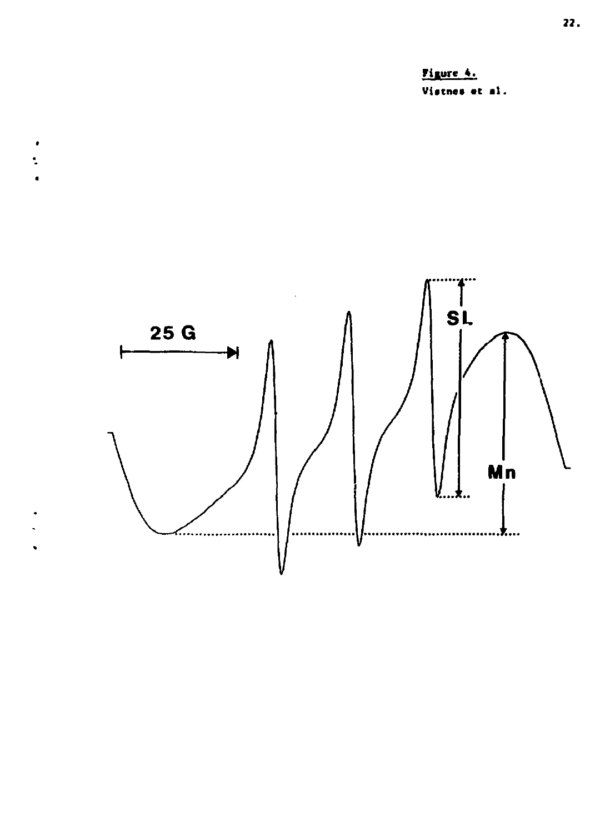



 $\begin{array}{c}\n\bullet \\
\bullet \\
\bullet\n\end{array}$ 

 $\ddot{\phantom{0}}$  $\ddot{\phantom{0}}$ 

 $\ddot{\phantom{0}}$